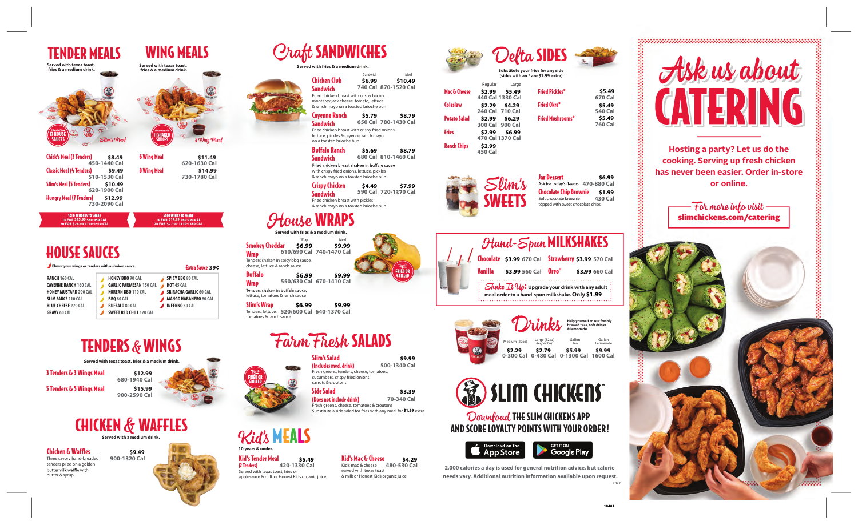**Hosting a party? Let us do the cooking. Serving up fresh chicken has never been easier. Order in-store or online.**

- For more info visit slimchickens.com/catering

**Served with texas toast,** 

**fries & a medium drink. Served with texas toast, fries & a medium drink.** 

TENDER MEALS WING MEALS

**Served with fries & a medium drink.**

**Craft SANDWICHES** 



Download THE SLIM CHICKENS APP AND SCORE LOYALTY POINTS WITH YOUR ORDER!



fries or nest Kids organic juice **420-1330 Cal**

**Jar Dessert \$6.99** Ask for today's flavors 470-880 Cal Chocolate Chip Brownie **\$1.99 430 Cal** Soft chocolate brownie topped with sweet chocolate chips

Fried chicken breast shaken in buffalo sauce **680 Cal 810-1460 Cal \$8.79**

to die <sup>r</sup> **520/600 Cal 640-1370 Cal \$6.99 \$9.99**

## arm Fhesh SALADS

**2,000 calories a day is used for general nutrition advice, but calorie needs vary. Additional nutrition information available upon request.** 2022

with crispy fried onions, lettuce, pickles & ranch mayo on a toasted brioche bun

**Served with fries & a medium drink.** icy bbq sauce, ch sauce Wrap **610/690 Cal 740-1470 Cal \$6.99 \$9.99**

| <b>17 HOUSE</b><br>SAIICES                                                                                                                                                                                                                  | Slim's Meal                                                                                                                                                     | <b>11 SHAKEN</b><br><b>SAUCES</b> |                                                                                                                                                           | 8 Wing Meal |                                                                                                                                                                                                                                                                       |
|---------------------------------------------------------------------------------------------------------------------------------------------------------------------------------------------------------------------------------------------|-----------------------------------------------------------------------------------------------------------------------------------------------------------------|-----------------------------------|-----------------------------------------------------------------------------------------------------------------------------------------------------------|-------------|-----------------------------------------------------------------------------------------------------------------------------------------------------------------------------------------------------------------------------------------------------------------------|
| <b>Chick's Meal (3 Tenders)</b><br>Classic Meal (4 Tenders)<br><b>Slim's Meal (5 Tenders)</b><br><b>Hungry Meal (7 Tenders)</b><br><b>SOLO TENDERS TO SHARE</b>                                                                             | \$8.49<br>450-1440 Cal<br>\$9.49<br>510-1530 Cal<br>\$10.49<br>620-1900 Cal<br>\$12.99<br>730-2090 Cal                                                          | <b>6 Wing Meal</b><br>8 Wing Meal | \$11.49<br>620-1630 Cal<br>730-1780 Cal<br><b>SOLO WINGS TO SHARE</b>                                                                                     | \$14.99     |                                                                                                                                                                                                                                                                       |
| 10 FOR \$15.99 560-950 CAL<br>20 FOR \$28.99 1110-1910 CAL                                                                                                                                                                                  |                                                                                                                                                                 |                                   | 10 FOR \$14.99 560-790 CAL<br>20 FOR \$27.99 1110-1580 CAL                                                                                                |             |                                                                                                                                                                                                                                                                       |
| <b>HOUSE SAUCES</b><br>Flavor your wings or tenders with a shaken sauce.<br>RANCH 160 CAL<br><b>CAYENNE RANCH 160 CAL</b><br><b>HONEY MUSTARD 200 CAL</b><br><b>SLIM SAUCE 210 CAL</b><br><b>BLUE CHEESE 270 CAL</b><br><b>GRAVY 60 CAL</b> | <b>HONEY BBO 90 CAL</b><br><b>GARLIC PARMESAN 150 CAL</b><br>KOREAN BBQ 110 CAL<br><b>BBQ 80 CAL</b><br><b>BUFFALO 80 CAL</b><br><b>SWEET RED CHILI 120 CAL</b> |                                   | <b>Extra Sauce 39¢</b><br>SPICY BBQ 80 CAL<br><b>HOT 45 CAL</b><br><b>SRIRACHA GARLIC 60 CAL</b><br><b>MANGO HABANERO 80 CAL</b><br><b>INFERNO 30 CAL</b> |             | Serve<br><b>Smokey Cheddar</b><br>61<br><b>Wrap</b><br>Tenders shaken in spi<br>cheese, lettuce & rand<br><b>Buffalo</b><br>55<br><b>Wrap</b><br>Tenders shaken in bu<br>lettuce, tomatoes & ra<br><b>Slim's Wrap</b><br>Tenders, lettuce, 52<br>tomatoes & ranch sau |
|                                                                                                                                                                                                                                             |                                                                                                                                                                 |                                   |                                                                                                                                                           |             |                                                                                                                                                                                                                                                                       |
|                                                                                                                                                                                                                                             | <b>TENDERS &amp; WINGS</b><br>Served with texas toast, fries & a medium drink.                                                                                  |                                   |                                                                                                                                                           |             |                                                                                                                                                                                                                                                                       |
| 3 Tenders & 3 Wings Meal<br>5 Tenders & 5 Wings Meal                                                                                                                                                                                        | \$12.99<br>680-1940 Cal<br>\$15.99<br>900-2590 Cal                                                                                                              |                                   |                                                                                                                                                           |             | FRIED OR<br>GRILLED                                                                                                                                                                                                                                                   |
|                                                                                                                                                                                                                                             | <b>CHICKEN &amp; WAFFLES</b><br>Served with a medium drink.                                                                                                     |                                   |                                                                                                                                                           |             |                                                                                                                                                                                                                                                                       |
| <b>Chicken &amp; Waffles</b><br>Three savory hand-breaded<br>tenders piled on a golden<br>buttermilk waffle with<br>butter & syrup                                                                                                          | \$9.49<br>900-1320 Cal                                                                                                                                          |                                   |                                                                                                                                                           |             | 10 years & under.<br><b>Kid's Tender Meal</b><br>(2 Tenders)<br>42<br>Served with texas toast, f<br>applesauce & milk or Hor                                                                                                                                          |



Slim's Salad







|         | <b>Hand-Spun MILKSHAKES</b>  |                                                                                                                            |                |
|---------|------------------------------|----------------------------------------------------------------------------------------------------------------------------|----------------|
|         |                              | Chocolate \$3.99 670 Cal Strawberry \$3.99 570 Cal                                                                         |                |
| Vanilla | \$3.99 560 Cal <b>Oreo</b> ® |                                                                                                                            | \$3.99 660 Cal |
|         |                              | Shake $\mathcal{I}t$ $\mathcal{U}p$ : Upgrade your drink with any adult<br>and order to a hand-spun milkshake. Only \$1.99 |                |

|                                                                                                                           | Sandwich | Meal                 |
|---------------------------------------------------------------------------------------------------------------------------|----------|----------------------|
| Chicken Club                                                                                                              | \$6.99   | \$10.49              |
| <b>Sandwich</b>                                                                                                           |          | 740 Cal 870-1520 Cal |
| Fried chicken breast with crispy bacon,<br>monterey jack cheese, tomato, lettuce<br>& ranch mayo on a toasted brioche bun |          |                      |
| <b>Cayenne Ranch</b>                                                                                                      | \$5.79   | \$8.79               |
| <b>Sandwich</b>                                                                                                           |          | 650 Cal 780-1430 Cal |
| Fried chicken breast with crispy fried onions,<br>lettuce, pickles & cayenne ranch mayo<br>on a toasted brioche bun       |          |                      |
| <b>Buffalo Ranch</b>                                                                                                      | \$5.69   | \$8.79               |
| Sandwich                                                                                                                  |          | 680 Cal 810-1460 Cal |

(Includes med. drink) Fresh greens, tenders, cheese, tomatoes, cucumbers, crispy fried onions, carrots & croutons Side Salad **500-1340 Cal**

(Does not include drink) Fresh greens, cheese, tomatoes & croutons Substitute a side salad for fries with any meal for \$1.99 extra **70-340 Cal**

Crispy Chicken **Sandwich** Fried chicken breast with pickles & ranch mayo on a toasted brioche bun **590 Cal 720-1 0 Cal \$4.49 \$7.99**

## ouse WRAPS

| Mac & Cheese        | Regular<br>\$2.99<br>440 Cal 1330 Cal | Large<br>\$5.49 | <b>Fried Pickles*</b>   | \$5.49<br>670 Cal |
|---------------------|---------------------------------------|-----------------|-------------------------|-------------------|
| <b>Coleslaw</b>     | \$2.29<br>240 Cal 710 Cal             | \$4.29          | <b>Fried Okra*</b>      | \$5.49<br>540 Cal |
| <b>Potato Salad</b> | \$2.99<br>300 Cal 900 Cal             | \$6.29          | <b>Fried Mushrooms*</b> | \$5.49<br>760 Cal |
| Fries               | \$2.99<br>470 Cal 1370 Cal            | \$6.99          |                         |                   |
| <b>Ranch Chips</b>  | \$2.99<br><b>450 Cal</b>              |                 |                         |                   |

#### Kid's Mac & Cheese **\$5.49 \$4.29** Kid's mac & cheese **480-530 Cal** served with texas toast & milk or Honest Kids organic juice

**550/630 Cal 670-1410 Cal \$6.99 \$9.99**

iffalo sauce, ranch sauce

**\$9.99**

**\$3.39**

## EALS

**10401**